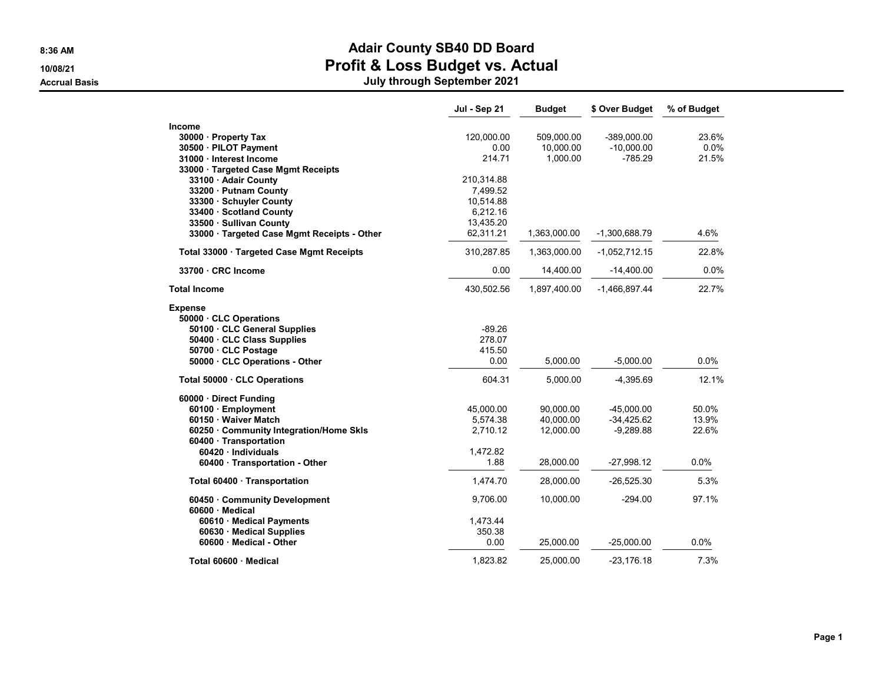#### 8:36 AM **Adair County SB40 DD Board** 10/08/21 Profit & Loss Budget vs. Actual

|                                                | Jul - Sep 21 | <b>Budget</b> | \$ Over Budget  | % of Budget |
|------------------------------------------------|--------------|---------------|-----------------|-------------|
| Income                                         |              |               |                 |             |
| 30000 Property Tax                             | 120,000.00   | 509,000.00    | -389,000.00     | 23.6%       |
| 30500 · PILOT Payment                          | 0.00         | 10,000.00     | $-10,000.00$    | 0.0%        |
| 31000 · Interest Income                        | 214.71       | 1,000.00      | $-785.29$       | 21.5%       |
| 33000 · Targeted Case Mgmt Receipts            |              |               |                 |             |
| 33100 · Adair County                           | 210,314.88   |               |                 |             |
| 33200 · Putnam County                          | 7,499.52     |               |                 |             |
| 33300 · Schuyler County                        | 10,514.88    |               |                 |             |
| 33400 · Scotland County                        | 6,212.16     |               |                 |             |
| 33500 · Sullivan County                        | 13,435.20    |               |                 |             |
| 33000 · Targeted Case Mgmt Receipts - Other    | 62,311.21    | 1,363,000.00  | -1,300,688.79   | 4.6%        |
| Total 33000 Targeted Case Mgmt Receipts        | 310,287.85   | 1,363,000.00  | $-1,052,712.15$ | 22.8%       |
| 33700 CRC Income                               | 0.00         | 14,400.00     | $-14,400.00$    | 0.0%        |
| Total Income                                   | 430,502.56   | 1,897,400.00  | $-1,466,897.44$ | 22.7%       |
| Expense                                        |              |               |                 |             |
| 50000 · CLC Operations                         |              |               |                 |             |
| 50100 · CLC General Supplies                   | $-89.26$     |               |                 |             |
| 50400 · CLC Class Supplies                     | 278.07       |               |                 |             |
| 50700 · CLC Postage                            | 415.50       |               |                 |             |
| 50000 · CLC Operations - Other                 | 0.00         | 5,000.00      | $-5,000.00$     | 0.0%        |
| Total 50000 CLC Operations                     | 604.31       | 5,000.00      | $-4,395.69$     | 12.1%       |
| 60000 · Direct Funding                         |              |               |                 |             |
| 60100 · Employment                             | 45,000.00    | 90,000.00     | $-45,000.00$    | 50.0%       |
| 60150 · Waiver Match                           | 5,574.38     | 40,000.00     | $-34,425.62$    | 13.9%       |
| 60250 Community Integration/Home Skls          | 2,710.12     | 12,000.00     | $-9,289.88$     | 22.6%       |
| 60400 · Transportation                         |              |               |                 |             |
| 60420 · Individuals                            | 1,472.82     |               |                 |             |
| 60400 · Transportation - Other                 | 1.88         | 28,000.00     | $-27,998.12$    | $0.0\%$     |
| Total 60400 · Transportation                   | 1,474.70     | 28,000.00     | $-26,525.30$    | 5.3%        |
| 60450 Community Development<br>60600 · Medical | 9,706.00     | 10,000.00     | $-294.00$       | 97.1%       |
| 60610 · Medical Payments                       | 1,473.44     |               |                 |             |
| 60630 · Medical Supplies                       | 350.38       |               |                 |             |
| 60600 · Medical - Other                        | 0.00         | 25,000.00     | $-25,000.00$    | 0.0%        |
| Total 60600 · Medical                          | 1,823.82     | 25.000.00     | $-23.176.18$    | 7.3%        |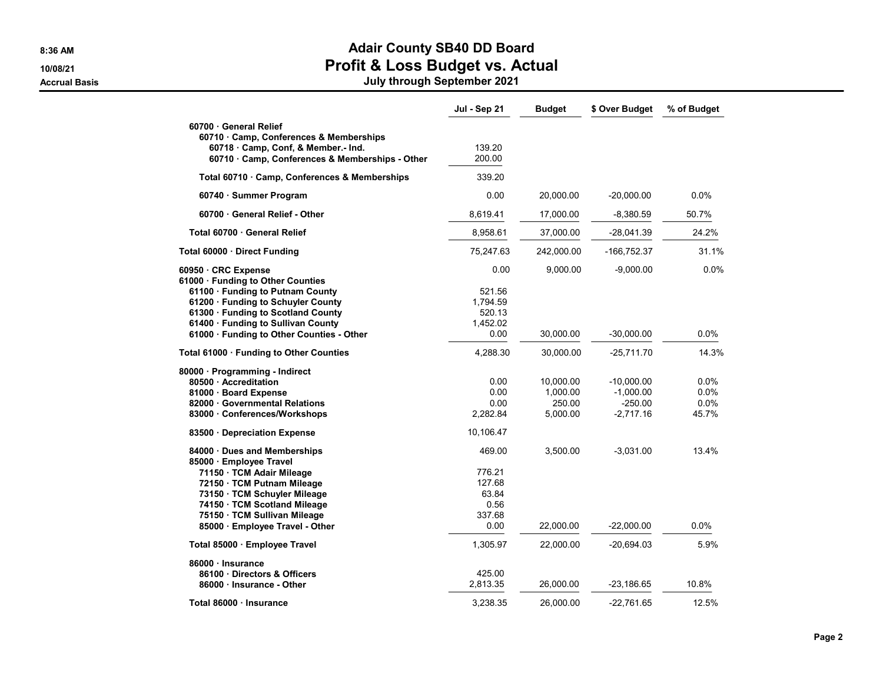# 8:36 AM **Adair County SB40 DD Board**

10/08/21 Profit & Loss Budget vs. Actual Accrual Basis July through September 2021

|                                               | Jul - Sep 21 | <b>Budget</b> | \$ Over Budget | % of Budget |
|-----------------------------------------------|--------------|---------------|----------------|-------------|
| 60700 General Relief                          |              |               |                |             |
| 60710 · Camp, Conferences & Memberships       |              |               |                |             |
| 60718 · Camp, Conf, & Member.- Ind.           | 139.20       |               |                |             |
| 60710 Camp, Conferences & Memberships - Other | 200.00       |               |                |             |
| Total 60710 · Camp, Conferences & Memberships | 339.20       |               |                |             |
| 60740 · Summer Program                        | 0.00         | 20,000.00     | $-20,000.00$   | 0.0%        |
| 60700 General Relief - Other                  | 8.619.41     | 17,000.00     | $-8,380.59$    | 50.7%       |
| Total 60700 · General Relief                  | 8,958.61     | 37,000.00     | $-28,041.39$   | 24.2%       |
| Total 60000 · Direct Funding                  | 75,247.63    | 242,000.00    | -166,752.37    | 31.1%       |
| 60950 · CRC Expense                           | 0.00         | 9,000.00      | $-9,000.00$    | $0.0\%$     |
| 61000 · Funding to Other Counties             |              |               |                |             |
| 61100 · Funding to Putnam County              | 521.56       |               |                |             |
| 61200 · Funding to Schuyler County            | 1,794.59     |               |                |             |
| 61300 · Funding to Scotland County            | 520.13       |               |                |             |
| 61400 · Funding to Sullivan County            | 1,452.02     |               |                |             |
| 61000 · Funding to Other Counties - Other     | 0.00         | 30,000.00     | $-30,000.00$   | 0.0%        |
| Total 61000 · Funding to Other Counties       | 4,288.30     | 30,000.00     | $-25,711.70$   | 14.3%       |
| 80000 · Programming - Indirect                |              |               |                |             |
| 80500 · Accreditation                         | 0.00         | 10,000.00     | $-10,000.00$   | 0.0%        |
| 81000 · Board Expense                         | 0.00         | 1,000.00      | $-1,000.00$    | 0.0%        |
| 82000 · Governmental Relations                | 0.00         | 250.00        | $-250.00$      | 0.0%        |
| 83000 Conferences/Workshops                   | 2,282.84     | 5,000.00      | -2,717.16      | 45.7%       |
| 83500 Depreciation Expense                    | 10,106.47    |               |                |             |
| 84000 · Dues and Memberships                  | 469.00       | 3,500.00      | $-3,031.00$    | 13.4%       |
| 85000 · Employee Travel                       |              |               |                |             |
| 71150 · TCM Adair Mileage                     | 776.21       |               |                |             |
| 72150 · TCM Putnam Mileage                    | 127.68       |               |                |             |
| 73150 · TCM Schuyler Mileage                  | 63.84        |               |                |             |
| 74150 · TCM Scotland Mileage                  | 0.56         |               |                |             |
| 75150 · TCM Sullivan Mileage                  | 337.68       |               |                |             |
| 85000 · Employee Travel - Other               | 0.00         | 22,000.00     | $-22,000.00$   | 0.0%        |
| Total 85000 · Employee Travel                 | 1,305.97     | 22,000.00     | $-20,694.03$   | 5.9%        |
| 86000 · Insurance                             |              |               |                |             |
| 86100 Directors & Officers                    | 425.00       |               |                |             |
| 86000 · Insurance - Other                     | 2,813.35     | 26,000.00     | -23,186.65     | 10.8%       |
| Total 86000 · Insurance                       | 3,238.35     | 26,000.00     | $-22.761.65$   | 12.5%       |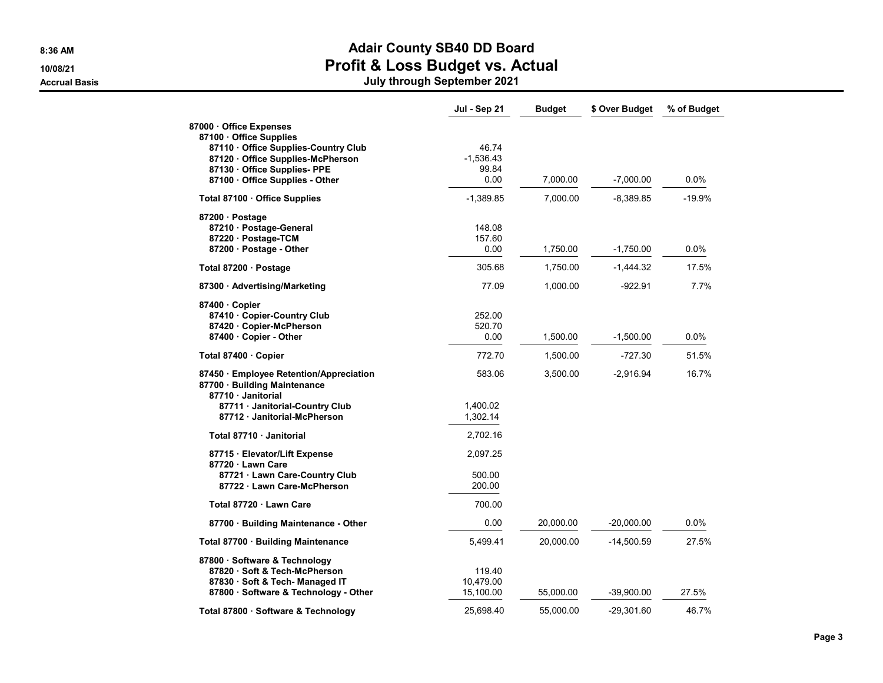## 8:36 AM BOAT AND THE SERVICE OF STREET AND ACAIT COUNTY SEAD DD BOAT COUNTY

10/08/21 Profit & Loss Budget vs. Actual

|                                                                                               | Jul - Sep 21 | <b>Budget</b> | \$ Over Budget | % of Budget |
|-----------------------------------------------------------------------------------------------|--------------|---------------|----------------|-------------|
| 87000 Office Expenses                                                                         |              |               |                |             |
| 87100 · Office Supplies                                                                       |              |               |                |             |
| 87110 Office Supplies-Country Club                                                            | 46.74        |               |                |             |
| 87120 Office Supplies-McPherson                                                               | $-1,536.43$  |               |                |             |
| 87130 Office Supplies- PPE                                                                    | 99.84        |               |                |             |
| 87100 Office Supplies - Other                                                                 | 0.00         | 7,000.00      | $-7,000.00$    | $0.0\%$     |
| Total 87100 · Office Supplies                                                                 | $-1,389.85$  | 7,000.00      | $-8,389.85$    | $-19.9%$    |
| 87200 · Postage                                                                               |              |               |                |             |
| 87210 · Postage-General                                                                       | 148.08       |               |                |             |
| 87220 · Postage-TCM                                                                           | 157.60       |               |                |             |
| 87200 · Postage - Other                                                                       | 0.00         | 1,750.00      | $-1,750.00$    | 0.0%        |
| Total 87200 · Postage                                                                         | 305.68       | 1,750.00      | $-1,444.32$    | 17.5%       |
| 87300 · Advertising/Marketing                                                                 | 77.09        | 1,000.00      | $-922.91$      | 7.7%        |
| 87400 Copier                                                                                  |              |               |                |             |
| 87410 Copier-Country Club                                                                     | 252.00       |               |                |             |
| 87420 · Copier-McPherson                                                                      | 520.70       |               |                |             |
| 87400 · Copier - Other                                                                        | 0.00         | 1,500.00      | $-1,500.00$    | 0.0%        |
| Total 87400 · Copier                                                                          | 772.70       | 1,500.00      | $-727.30$      | 51.5%       |
| 87450 · Employee Retention/Appreciation<br>87700 · Building Maintenance<br>87710 · Janitorial | 583.06       | 3,500.00      | $-2,916.94$    | 16.7%       |
| 87711 · Janitorial-Country Club                                                               | 1,400.02     |               |                |             |
| 87712 · Janitorial-McPherson                                                                  | 1,302.14     |               |                |             |
| Total 87710 · Janitorial                                                                      | 2,702.16     |               |                |             |
| 87715 · Elevator/Lift Expense                                                                 | 2,097.25     |               |                |             |
| 87720 · Lawn Care                                                                             | 500.00       |               |                |             |
| 87721 · Lawn Care-Country Club                                                                |              |               |                |             |
| 87722 · Lawn Care-McPherson                                                                   | 200.00       |               |                |             |
| Total 87720 · Lawn Care                                                                       | 700.00       |               |                |             |
| 87700 · Building Maintenance - Other                                                          | 0.00         | 20,000.00     | $-20,000.00$   | $0.0\%$     |
| Total 87700 · Building Maintenance                                                            | 5,499.41     | 20,000.00     | $-14,500.59$   | 27.5%       |
| 87800 · Software & Technology                                                                 |              |               |                |             |
| 87820 · Soft & Tech-McPherson                                                                 | 119.40       |               |                |             |
| 87830 · Soft & Tech- Managed IT                                                               | 10,479.00    |               |                |             |
| 87800 · Software & Technology - Other                                                         | 15,100.00    | 55,000.00     | -39,900.00     | 27.5%       |
| Total 87800 · Software & Technology                                                           | 25,698.40    | 55,000.00     | $-29,301.60$   | 46.7%       |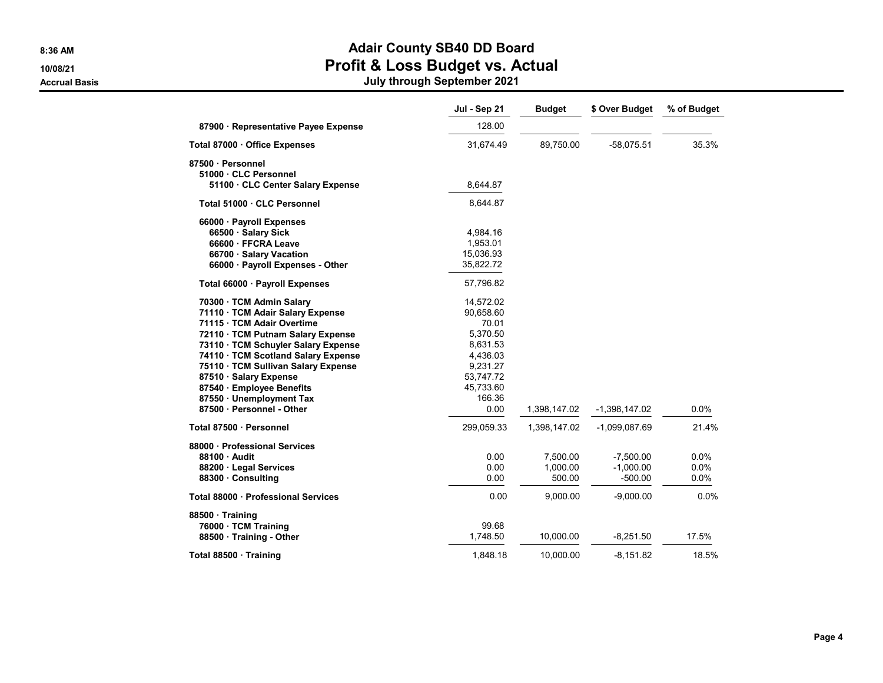#### 8:36 AM **Adair County SB40 DD Board** 10/08/21 Profit & Loss Budget vs. Actual

|                                      | Jul - Sep 21 | <b>Budget</b> | \$ Over Budget  | % of Budget |
|--------------------------------------|--------------|---------------|-----------------|-------------|
| 87900 · Representative Payee Expense | 128.00       |               |                 |             |
| Total 87000 · Office Expenses        | 31,674.49    | 89,750.00     | $-58,075.51$    | 35.3%       |
| 87500 · Personnel                    |              |               |                 |             |
| 51000 · CLC Personnel                |              |               |                 |             |
| 51100 · CLC Center Salary Expense    | 8,644.87     |               |                 |             |
| Total 51000 · CLC Personnel          | 8,644.87     |               |                 |             |
| 66000 · Payroll Expenses             |              |               |                 |             |
| 66500 · Salary Sick                  | 4,984.16     |               |                 |             |
| 66600 · FFCRA Leave                  | 1,953.01     |               |                 |             |
| 66700 · Salary Vacation              | 15,036.93    |               |                 |             |
| 66000 · Payroll Expenses - Other     | 35,822.72    |               |                 |             |
| Total 66000 · Payroll Expenses       | 57,796.82    |               |                 |             |
| 70300 · TCM Admin Salary             | 14,572.02    |               |                 |             |
| 71110 · TCM Adair Salary Expense     | 90,658.60    |               |                 |             |
| 71115 · TCM Adair Overtime           | 70.01        |               |                 |             |
| 72110 · TCM Putnam Salary Expense    | 5,370.50     |               |                 |             |
| 73110 · TCM Schuyler Salary Expense  | 8,631.53     |               |                 |             |
| 74110 · TCM Scotland Salary Expense  | 4,436.03     |               |                 |             |
| 75110 · TCM Sullivan Salary Expense  | 9,231.27     |               |                 |             |
| 87510 · Salary Expense               | 53,747.72    |               |                 |             |
| 87540 · Employee Benefits            | 45,733.60    |               |                 |             |
| 87550 · Unemployment Tax             | 166.36       |               |                 |             |
| 87500 · Personnel - Other            | 0.00         | 1,398,147.02  | $-1,398,147.02$ | $0.0\%$     |
| Total 87500 · Personnel              | 299,059.33   | 1,398,147.02  | -1,099,087.69   | 21.4%       |
|                                      |              |               |                 |             |
| 88000 · Professional Services        |              |               |                 |             |
| 88100 · Audit                        | 0.00         | 7,500.00      | $-7,500.00$     | 0.0%        |
| 88200 · Legal Services               | 0.00         | 1,000.00      | $-1,000.00$     | 0.0%        |
| 88300 Consulting                     | 0.00         | 500.00        | $-500.00$       | 0.0%        |
| Total 88000 · Professional Services  | 0.00         | 9,000.00      | $-9,000.00$     | 0.0%        |
| 88500 · Training                     |              |               |                 |             |
| 76000 · TCM Training                 | 99.68        |               |                 |             |
| 88500 · Training - Other             | 1,748.50     | 10,000.00     | $-8,251.50$     | 17.5%       |
| Total 88500 · Training               | 1,848.18     | 10,000.00     | $-8,151.82$     | 18.5%       |